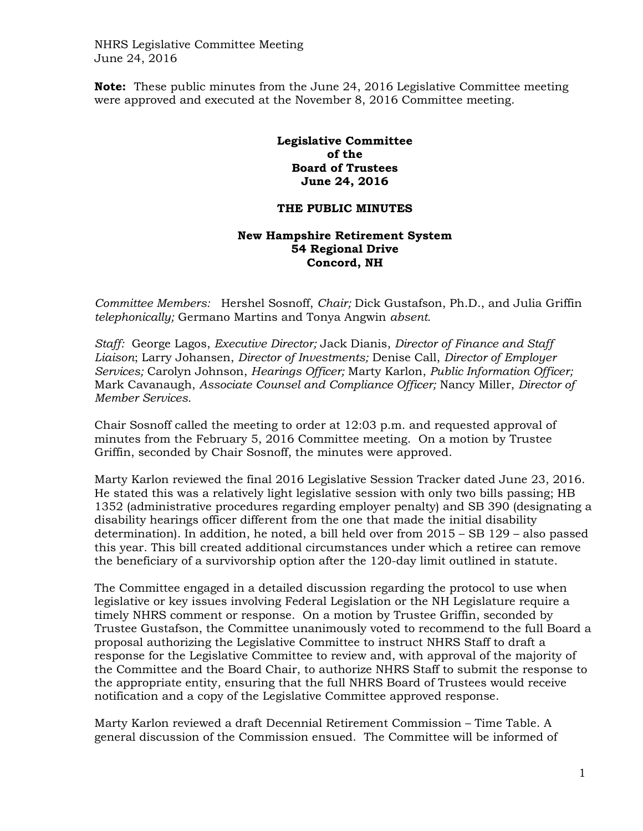NHRS Legislative Committee Meeting June 24, 2016

**Note:** These public minutes from the June 24, 2016 Legislative Committee meeting were approved and executed at the November 8, 2016 Committee meeting.

## **Legislative Committee of the Board of Trustees June 24, 2016**

## **THE PUBLIC MINUTES**

## **New Hampshire Retirement System 54 Regional Drive Concord, NH**

*Committee Members:* Hershel Sosnoff, *Chair;* Dick Gustafson, Ph.D., and Julia Griffin *telephonically;* Germano Martins and Tonya Angwin *absent.* 

*Staff:* George Lagos, *Executive Director;* Jack Dianis, *Director of Finance and Staff Liaison*; Larry Johansen, *Director of Investments;* Denise Call, *Director of Employer Services;* Carolyn Johnson, *Hearings Officer;* Marty Karlon, *Public Information Officer;* Mark Cavanaugh, *Associate Counsel and Compliance Officer;* Nancy Miller, *Director of Member Services.*

Chair Sosnoff called the meeting to order at 12:03 p.m. and requested approval of minutes from the February 5, 2016 Committee meeting. On a motion by Trustee Griffin, seconded by Chair Sosnoff, the minutes were approved.

Marty Karlon reviewed the final 2016 Legislative Session Tracker dated June 23, 2016. He stated this was a relatively light legislative session with only two bills passing; HB 1352 (administrative procedures regarding employer penalty) and SB 390 (designating a disability hearings officer different from the one that made the initial disability determination). In addition, he noted, a bill held over from 2015 – SB 129 – also passed this year. This bill created additional circumstances under which a retiree can remove the beneficiary of a survivorship option after the 120-day limit outlined in statute.

The Committee engaged in a detailed discussion regarding the protocol to use when legislative or key issues involving Federal Legislation or the NH Legislature require a timely NHRS comment or response. On a motion by Trustee Griffin, seconded by Trustee Gustafson, the Committee unanimously voted to recommend to the full Board a proposal authorizing the Legislative Committee to instruct NHRS Staff to draft a response for the Legislative Committee to review and, with approval of the majority of the Committee and the Board Chair, to authorize NHRS Staff to submit the response to the appropriate entity, ensuring that the full NHRS Board of Trustees would receive notification and a copy of the Legislative Committee approved response.

Marty Karlon reviewed a draft Decennial Retirement Commission – Time Table. A general discussion of the Commission ensued. The Committee will be informed of